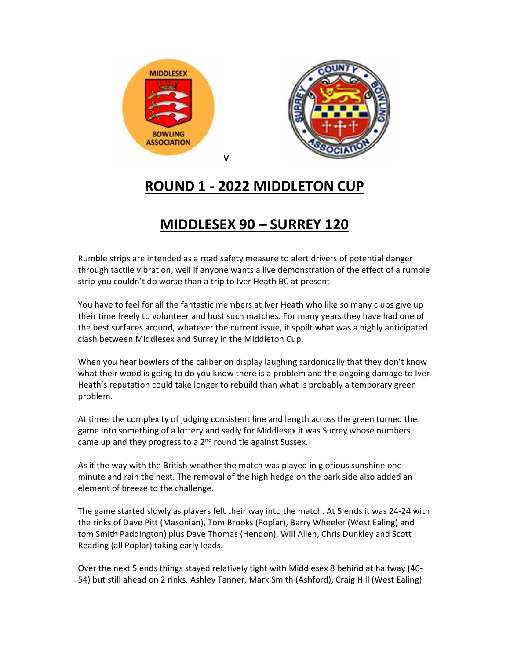

## **ROUND 1 - 2022 MIDDLETON CUP**

## **MIDDLESEX 90 – SURREY 120**

Rumble strips are intended as a road safety measure to alert drivers of potential danger through tactile vibration, well if anyone wants a live demonstration of the effect of a rumble strip you couldn't do worse than a trip to Iver Heath BC at present.

You have to feel for all the fantastic members at Iver Heath who like so many clubs give up their time freely to volunteer and host such matches. For many years they have had one of the best surfaces around, whatever the current issue, it spoilt what was a highly anticipated clash between Middlesex and Surrey in the Middleton Cup.

When you hear bowlers of the caliber on display laughing sardonically that they don't know what their wood is going to do you know there is a problem and the ongoing damage to Iver Heath's reputation could take longer to rebuild than what is probably a temporary green problem.

At times the complexity of judging consistent line and length across the green turned the game into something of a lottery and sadly for Middlesex it was Surrey whose numbers came up and they progress to a  $2<sup>nd</sup>$  round tie against Sussex.

As it the way with the British weather the match was played in glorious sunshine one minute and rain the next. The removal of the high hedge on the park side also added an element of breeze to the challenge.

The game started slowly as players felt their way into the match. At 5 ends it was 24-24 with the rinks of Dave Pitt (Masonian), Tom Brooks (Poplar), Barry Wheeler (West Ealing) and tom Smith Paddington) plus Dave Thomas (Hendon), Will Allen, Chris Dunkley and Scott Reading (all Poplar) taking early leads.

Over the next 5 ends things stayed relatively tight with Middlesex 8 behind at halfway (46- 54) but still ahead on 2 rinks. Ashley Tanner, Mark Smith (Ashford), Craig Hill (West Ealing)